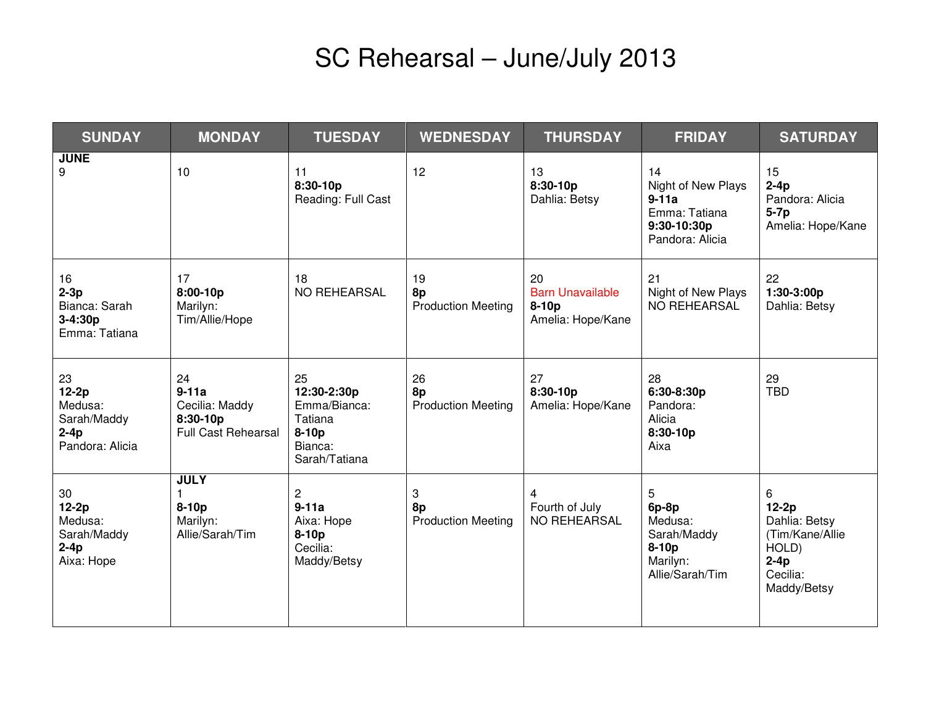## SC Rehearsal – June/July 2013

| <b>SUNDAY</b>                                                        | <b>MONDAY</b>                                                             | <b>TUESDAY</b>                                                                         | <b>WEDNESDAY</b>                      | <b>THURSDAY</b>                                               | <b>FRIDAY</b>                                                                          | <b>SATURDAY</b>                                                                                 |
|----------------------------------------------------------------------|---------------------------------------------------------------------------|----------------------------------------------------------------------------------------|---------------------------------------|---------------------------------------------------------------|----------------------------------------------------------------------------------------|-------------------------------------------------------------------------------------------------|
| <b>JUNE</b><br>9                                                     | 10                                                                        | 11<br>8:30-10p<br>Reading: Full Cast                                                   | 12                                    | 13<br>$8:30-10p$<br>Dahlia: Betsy                             | 14<br>Night of New Plays<br>$9-11a$<br>Emma: Tatiana<br>9:30-10:30p<br>Pandora: Alicia | 15<br>$2-4p$<br>Pandora: Alicia<br>$5-7p$<br>Amelia: Hope/Kane                                  |
| 16<br>$2-3p$<br>Bianca: Sarah<br>3-4:30p<br>Emma: Tatiana            | 17<br>8:00-10p<br>Marilyn:<br>Tim/Allie/Hope                              | 18<br>NO REHEARSAL                                                                     | 19<br>8p<br><b>Production Meeting</b> | 20<br><b>Barn Unavailable</b><br>$8-10p$<br>Amelia: Hope/Kane | 21<br>Night of New Plays<br><b>NO REHEARSAL</b>                                        | 22<br>$1:30-3:00p$<br>Dahlia: Betsy                                                             |
| 23<br>$12-2p$<br>Medusa:<br>Sarah/Maddy<br>$2-4p$<br>Pandora: Alicia | 24<br>$9-11a$<br>Cecilia: Maddy<br>8:30-10p<br><b>Full Cast Rehearsal</b> | 25<br>12:30-2:30p<br>Emma/Bianca:<br>Tatiana<br>$8-10p$<br>Bianca:<br>Sarah/Tatiana    | 26<br>8p<br><b>Production Meeting</b> | 27<br>8:30-10p<br>Amelia: Hope/Kane                           | 28<br>6:30-8:30p<br>Pandora:<br>Alicia<br>8:30-10p<br>Aixa                             | 29<br><b>TBD</b>                                                                                |
| $30\,$<br>$12-2p$<br>Medusa:<br>Sarah/Maddy<br>$2-4p$<br>Aixa: Hope  | <b>JULY</b><br>$8-10p$<br>Marilyn:<br>Allie/Sarah/Tim                     | $\overline{\mathbf{c}}$<br>$9-11a$<br>Aixa: Hope<br>$8-10p$<br>Cecilia:<br>Maddy/Betsy | 3<br>8p<br><b>Production Meeting</b>  | 4<br>Fourth of July<br><b>NO REHEARSAL</b>                    | 5<br>$6p-8p$<br>Medusa:<br>Sarah/Maddy<br>$8-10p$<br>Marilyn:<br>Allie/Sarah/Tim       | 6<br>$12-2p$<br>Dahlia: Betsy<br>(Tim/Kane/Allie)<br>HOLD)<br>$2-4p$<br>Cecilia:<br>Maddy/Betsy |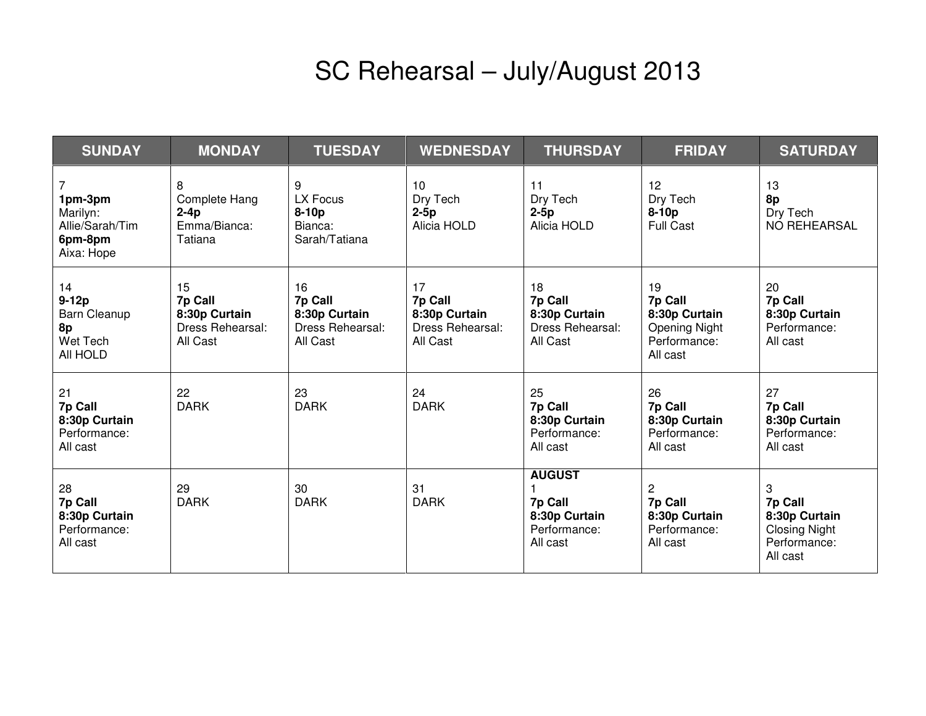## SC Rehearsal – July/August 2013

| <b>SUNDAY</b>                                                        | <b>MONDAY</b>                                                  | <b>TUESDAY</b>                                                 | <b>WEDNESDAY</b>                                               | <b>THURSDAY</b>                                                       | <b>FRIDAY</b>                                                                      | <b>SATURDAY</b>                                                                   |
|----------------------------------------------------------------------|----------------------------------------------------------------|----------------------------------------------------------------|----------------------------------------------------------------|-----------------------------------------------------------------------|------------------------------------------------------------------------------------|-----------------------------------------------------------------------------------|
| 7<br>1pm-3pm<br>Marilyn:<br>Allie/Sarah/Tim<br>6pm-8pm<br>Aixa: Hope | 8<br>Complete Hang<br>$2-4p$<br>Emma/Bianca:<br>Tatiana        | 9<br>LX Focus<br>8-10p<br>Bianca:<br>Sarah/Tatiana             | 10<br>Dry Tech<br>$2-5p$<br>Alicia HOLD                        | 11<br>Dry Tech<br>$2-5p$<br>Alicia HOLD                               | 12<br>Dry Tech<br>$8-10p$<br><b>Full Cast</b>                                      | 13<br>8p<br>Dry Tech<br>NO REHEARSAL                                              |
| 14<br>$9-12p$<br>Barn Cleanup<br>8p<br>Wet Tech<br>All HOLD          | 15<br>7p Call<br>8:30p Curtain<br>Dress Rehearsal:<br>All Cast | 16<br>7p Call<br>8:30p Curtain<br>Dress Rehearsal:<br>All Cast | 17<br>7p Call<br>8:30p Curtain<br>Dress Rehearsal:<br>All Cast | 18<br>7p Call<br>8:30p Curtain<br>Dress Rehearsal:<br>All Cast        | 19<br>7p Call<br>8:30p Curtain<br><b>Opening Night</b><br>Performance:<br>All cast | 20<br>7p Call<br>8:30p Curtain<br>Performance:<br>All cast                        |
| 21<br>7p Call<br>8:30p Curtain<br>Performance:<br>All cast           | 22<br><b>DARK</b>                                              | 23<br><b>DARK</b>                                              | 24<br><b>DARK</b>                                              | 25<br>7p Call<br>8:30p Curtain<br>Performance:<br>All cast            | 26<br>7p Call<br>8:30p Curtain<br>Performance:<br>All cast                         | 27<br>7p Call<br>8:30p Curtain<br>Performance:<br>All cast                        |
| 28<br>7p Call<br>8:30p Curtain<br>Performance:<br>All cast           | 29<br><b>DARK</b>                                              | 30<br><b>DARK</b>                                              | 31<br><b>DARK</b>                                              | <b>AUGUST</b><br>7p Call<br>8:30p Curtain<br>Performance:<br>All cast | $\overline{2}$<br>7p Call<br>8:30p Curtain<br>Performance:<br>All cast             | 3<br>7p Call<br>8:30p Curtain<br><b>Closing Night</b><br>Performance:<br>All cast |